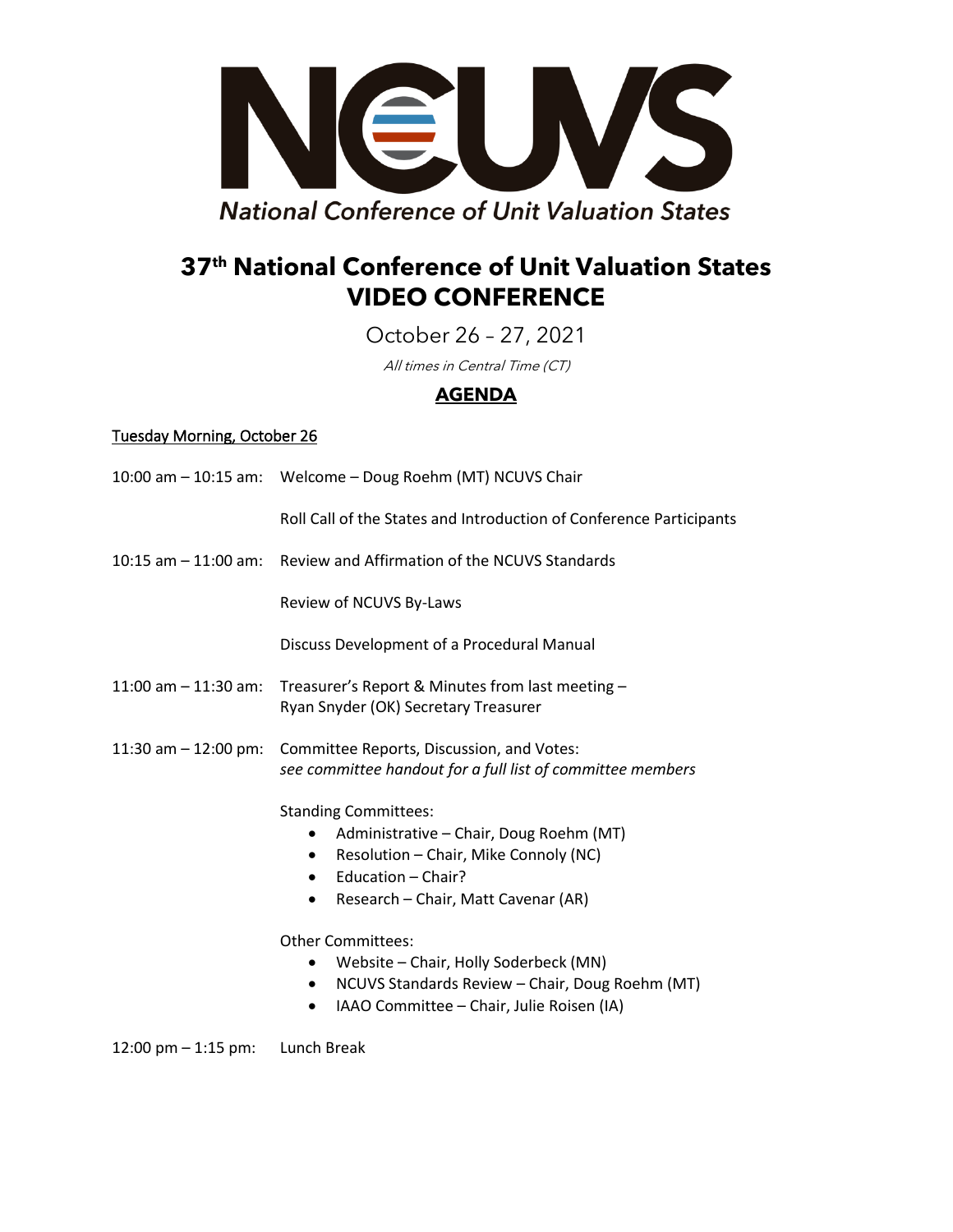

# **37th National Conference of Unit Valuation States VIDEO CONFERENCE**

October 26 – 27, 2021

All times in Central Time (CT)

# **AGENDA**

## Tuesday Morning, October 26

| 10:00 am - 10:15 am: Welcome - Doug Roehm (MT) NCUVS Chair                                                                                                                                          |
|-----------------------------------------------------------------------------------------------------------------------------------------------------------------------------------------------------|
| Roll Call of the States and Introduction of Conference Participants                                                                                                                                 |
| 10:15 am – 11:00 am: Review and Affirmation of the NCUVS Standards                                                                                                                                  |
| Review of NCUVS By-Laws                                                                                                                                                                             |
| Discuss Development of a Procedural Manual                                                                                                                                                          |
| Treasurer's Report & Minutes from last meeting -<br>Ryan Snyder (OK) Secretary Treasurer                                                                                                            |
| Committee Reports, Discussion, and Votes:<br>see committee handout for a full list of committee members                                                                                             |
| <b>Standing Committees:</b><br>Administrative - Chair, Doug Roehm (MT)<br>Resolution - Chair, Mike Connoly (NC)<br>٠<br>Education - Chair?<br>٠<br>Research - Chair, Matt Cavenar (AR)<br>$\bullet$ |
| <b>Other Committees:</b><br>Website - Chair, Holly Soderbeck (MN)<br>٠<br>NCUVS Standards Review - Chair, Doug Roehm (MT)<br>$\bullet$<br>IAAO Committee - Chair, Julie Roisen (IA)                 |
|                                                                                                                                                                                                     |

12:00 pm – 1:15 pm: Lunch Break